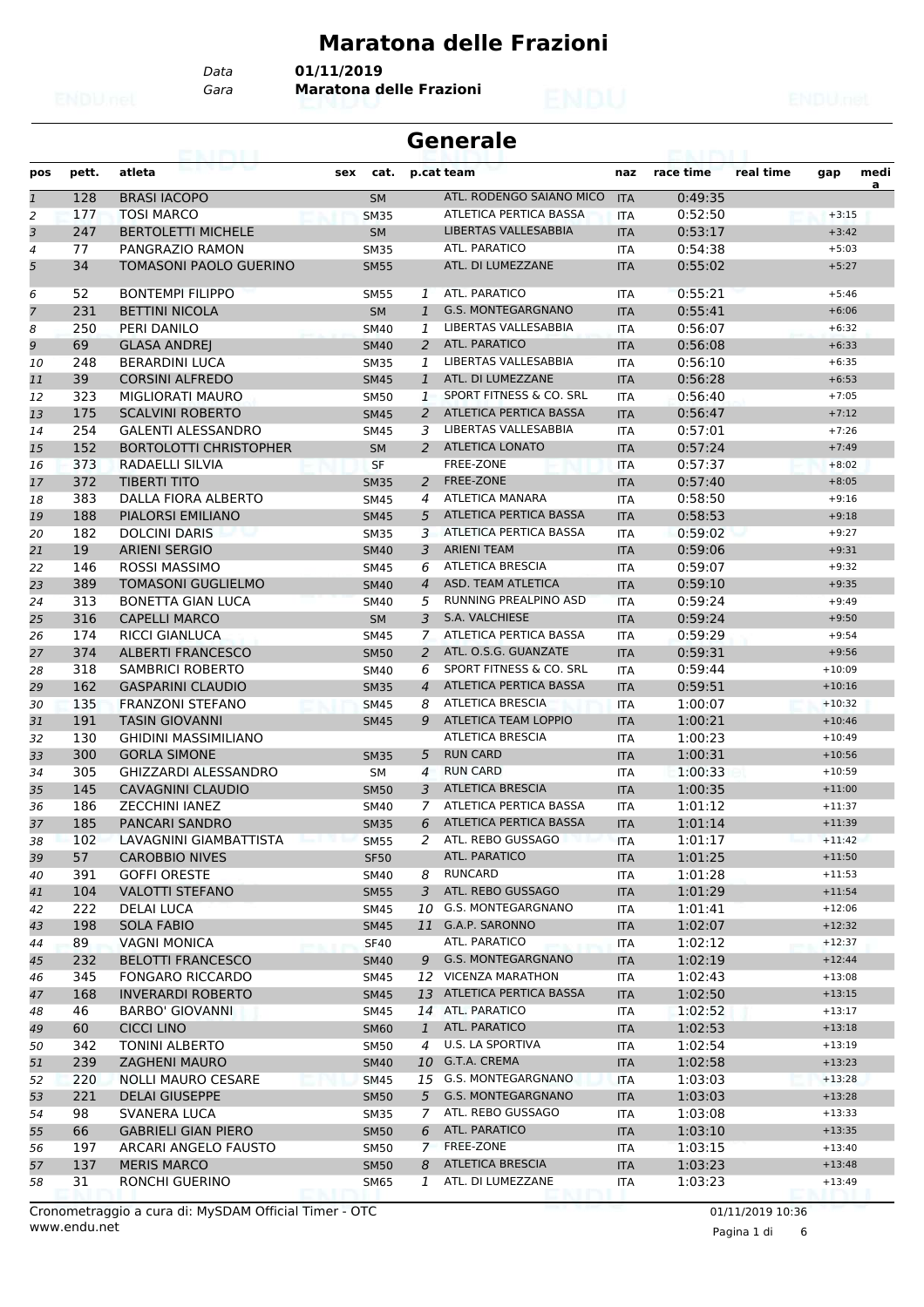## **Maratona delle Frazioni**

*Data* **01/11/2019**

*Gara* **Maratona delle Frazioni**

| <b>Generale</b> |  |
|-----------------|--|
|-----------------|--|

| pos            | pett.     | atleta                                     | sex<br>cat. |                | p.cat team                    | naz        | race time          | real time | gap      | medi |
|----------------|-----------|--------------------------------------------|-------------|----------------|-------------------------------|------------|--------------------|-----------|----------|------|
| $\mathbf{1}$   | 128       | <b>BRASI IACOPO</b>                        | <b>SM</b>   |                | ATL. RODENGO SAIANO MICO      | <b>ITA</b> | 0:49:35            |           |          | a    |
| $\overline{c}$ | 177       | <b>TOSI MARCO</b>                          | <b>SM35</b> |                | ATLETICA PERTICA BASSA        | <b>ITA</b> | 0:52:50            |           | $+3:15$  |      |
| 3              | 247       | <b>BERTOLETTI MICHELE</b>                  | <b>SM</b>   |                | <b>LIBERTAS VALLESABBIA</b>   | <b>ITA</b> | 0:53:17            |           | $+3:42$  |      |
| 4              | 77        | PANGRAZIO RAMON                            | <b>SM35</b> |                | ATL. PARATICO                 | ITA        | 0:54:38            |           | $+5:03$  |      |
| 5              | 34        | <b>TOMASONI PAOLO GUERINO</b>              | <b>SM55</b> |                | ATL. DI LUMEZZANE             | <b>ITA</b> | 0:55:02            |           | $+5:27$  |      |
| 6              | 52        | <b>BONTEMPI FILIPPO</b>                    | <b>SM55</b> | 1              | ATL. PARATICO                 | <b>ITA</b> | 0:55:21            |           | $+5:46$  |      |
| 7              | 231       | <b>BETTINI NICOLA</b>                      | <b>SM</b>   | $\mathbf{1}$   | <b>G.S. MONTEGARGNANO</b>     | <b>ITA</b> | 0:55:41            |           | $+6:06$  |      |
| 8              | 250       | PERI DANILO                                | <b>SM40</b> | 1              | LIBERTAS VALLESABBIA          | <b>ITA</b> | 0:56:07            |           | $+6:32$  |      |
| 9              | 69        | <b>GLASA ANDREJ</b>                        | <b>SM40</b> | 2              | <b>ATL. PARATICO</b>          | <b>ITA</b> | 0:56:08            |           | $+6:33$  |      |
| 10             | 248       | <b>BERARDINI LUCA</b>                      | <b>SM35</b> | 1              | <b>LIBERTAS VALLESABBIA</b>   | <b>ITA</b> | 0:56:10            |           | $+6:35$  |      |
| 11             | 39        | <b>CORSINI ALFREDO</b>                     | <b>SM45</b> | $\mathbf{1}$   | ATL. DI LUMEZZANE             | <b>ITA</b> | 0:56:28            |           | $+6:53$  |      |
| 12             | 323       | MIGLIORATI MAURO                           | <b>SM50</b> | 1              | SPORT FITNESS & CO. SRL       | <b>ITA</b> | 0:56:40            |           | $+7:05$  |      |
| 13             | 175       | <b>SCALVINI ROBERTO</b>                    | <b>SM45</b> | 2              | <b>ATLETICA PERTICA BASSA</b> | <b>ITA</b> | 0:56:47            |           | $+7:12$  |      |
| 14             | 254       | <b>GALENTI ALESSANDRO</b>                  | <b>SM45</b> | 3              | LIBERTAS VALLESABBIA          | ITA        | 0:57:01            |           | $+7:26$  |      |
| 15             | 152       | <b>BORTOLOTTI CHRISTOPHER</b>              | <b>SM</b>   | 2              | <b>ATLETICA LONATO</b>        | <b>ITA</b> | 0:57:24            |           | $+7:49$  |      |
| 16             | 373       | RADAELLI SILVIA                            | <b>SF</b>   |                | FREE-ZONE                     | <b>ITA</b> | 0:57:37            |           | $+8:02$  |      |
| 17             | 372       | <b>TIBERTI TITO</b>                        | <b>SM35</b> | 2              | FREE-ZONE                     | <b>ITA</b> | 0:57:40            |           | $+8:05$  |      |
| 18             | 383       | <b>DALLA FIORA ALBERTO</b>                 | <b>SM45</b> | 4              | <b>ATLETICA MANARA</b>        | <b>ITA</b> | 0:58:50            |           | $+9:16$  |      |
| 19             | 188       | PIALORSI EMILIANO                          | <b>SM45</b> | 5              | <b>ATLETICA PERTICA BASSA</b> | <b>ITA</b> | 0:58:53            |           | $+9:18$  |      |
| 20             | 182       | <b>DOLCINI DARIS</b>                       | <b>SM35</b> | 3              | <b>ATLETICA PERTICA BASSA</b> | <b>ITA</b> | 0:59:02            |           | $+9:27$  |      |
| 21             | 19        | <b>ARIENI SERGIO</b>                       | <b>SM40</b> | 3              | <b>ARIENI TEAM</b>            | <b>ITA</b> | 0:59:06            |           | $+9:31$  |      |
| 22             | 146       | <b>ROSSI MASSIMO</b>                       | <b>SM45</b> | 6              | <b>ATLETICA BRESCIA</b>       | <b>ITA</b> | 0:59:07            |           | $+9:32$  |      |
| 23             | 389       | <b>TOMASONI GUGLIELMO</b>                  | <b>SM40</b> | $\overline{4}$ | ASD. TEAM ATLETICA            | <b>ITA</b> | 0:59:10            |           | $+9:35$  |      |
| 24             | 313       | <b>BONETTA GIAN LUCA</b>                   | <b>SM40</b> | 5              | <b>RUNNING PREALPINO ASD</b>  | <b>ITA</b> | 0:59:24            |           | $+9:49$  |      |
| 25             | 316       | <b>CAPELLI MARCO</b>                       | <b>SM</b>   | 3              | S.A. VALCHIESE                | <b>ITA</b> | 0:59:24            |           | $+9:50$  |      |
| 26             | 174       | <b>RICCI GIANLUCA</b>                      | <b>SM45</b> | 7              | ATLETICA PERTICA BASSA        | ITA        | 0:59:29            |           | $+9:54$  |      |
| 27             | 374       | <b>ALBERTI FRANCESCO</b>                   | <b>SM50</b> | 2              | ATL. O.S.G. GUANZATE          | <b>ITA</b> | 0:59:31            |           | $+9:56$  |      |
| 28             | 318       | <b>SAMBRICI ROBERTO</b>                    | <b>SM40</b> | 6              | SPORT FITNESS & CO. SRL       | <b>ITA</b> | 0:59:44            |           | $+10:09$ |      |
| 29             | 162       | <b>GASPARINI CLAUDIO</b>                   | <b>SM35</b> | $\overline{4}$ | ATLETICA PERTICA BASSA        | <b>ITA</b> | 0:59:51            |           | $+10:16$ |      |
| 30             | 135       | <b>FRANZONI STEFANO</b>                    | <b>SM45</b> | 8              | <b>ATLETICA BRESCIA</b>       | <b>ITA</b> | 1:00:07            |           | $+10:32$ |      |
| 31             | 191       | <b>TASIN GIOVANNI</b>                      | <b>SM45</b> | 9              | <b>ATLETICA TEAM LOPPIO</b>   | <b>ITA</b> | 1:00:21            |           | $+10:46$ |      |
| 32             | 130       | <b>GHIDINI MASSIMILIANO</b>                |             |                | <b>ATLETICA BRESCIA</b>       | <b>ITA</b> | 1:00:23            |           | $+10:49$ |      |
| 33             | 300       | <b>GORLA SIMONE</b>                        | <b>SM35</b> | 5              | <b>RUN CARD</b>               | <b>ITA</b> | 1:00:31            |           | $+10:56$ |      |
| 34             | 305       | <b>GHIZZARDI ALESSANDRO</b>                | <b>SM</b>   | $\overline{4}$ | <b>RUN CARD</b>               | <b>ITA</b> | 1:00:33            |           | $+10:59$ |      |
| 35             | 145       | <b>CAVAGNINI CLAUDIO</b>                   | <b>SM50</b> | 3              | <b>ATLETICA BRESCIA</b>       | <b>ITA</b> | 1:00:35            |           | $+11:00$ |      |
| 36             | 186       | <b>ZECCHINI IANEZ</b>                      | <b>SM40</b> | 7              | ATLETICA PERTICA BASSA        | ITA        | 1:01:12            |           | $+11:37$ |      |
| 37             | 185       | <b>PANCARI SANDRO</b>                      | <b>SM35</b> | 6              | ATLETICA PERTICA BASSA        | <b>ITA</b> | 1:01:14            |           | $+11:39$ |      |
| 38             | 102       | LAVAGNINI GIAMBATTISTA                     | <b>SM55</b> | 2              | ATL. REBO GUSSAGO             | <b>ITA</b> | 1:01:17            |           | $+11:42$ |      |
| 39             | 57        | <b>CAROBBIO NIVES</b>                      | <b>SF50</b> |                | ATL. PARATICO                 | <b>ITA</b> | 1:01:25            |           | $+11:50$ |      |
| 40             | 391       | <b>GOFFI ORESTE</b>                        | SM40        | 8              | <b>RUNCARD</b>                | ITA        | 1:01:28            |           | $+11:53$ |      |
| 41             | 104       | <b>VALOTTI STEFANO</b>                     | <b>SM55</b> | 3              | ATL. REBO GUSSAGO             | <b>ITA</b> | 1:01:29            |           | $+11:54$ |      |
| 42             | 222       | DELAI LUCA                                 | SM45        |                | 10 G.S. MONTEGARGNANO         | ITA        | 1:01:41            |           | $+12:06$ |      |
| 43             | 198       | <b>SOLA FABIO</b>                          | <b>SM45</b> |                | 11 G.A.P. SARONNO             | <b>ITA</b> | 1:02:07            |           | $+12:32$ |      |
| 44             | 89        | <b>VAGNI MONICA</b>                        | <b>SF40</b> |                | ATL. PARATICO                 | ITA        | 1:02:12            |           | $+12:37$ |      |
| 45             | 232       | <b>BELOTTI FRANCESCO</b>                   | <b>SM40</b> | 9              | G.S. MONTEGARGNANO            | <b>ITA</b> | 1:02:19            |           | $+12:44$ |      |
| 46             | 345       | <b>FONGARO RICCARDO</b>                    | SM45        |                | 12 VICENZA MARATHON           | <b>ITA</b> | 1:02:43            |           | $+13:08$ |      |
| 47             | 168       | <b>INVERARDI ROBERTO</b>                   | <b>SM45</b> |                | 13 ATLETICA PERTICA BASSA     | <b>ITA</b> | 1:02:50            |           | $+13:15$ |      |
| 48             | 46        | <b>BARBO' GIOVANNI</b>                     | SM45        |                | 14 ATL. PARATICO              | ITA        | 1:02:52            |           | $+13:17$ |      |
| 49             | 60        | <b>CICCI LINO</b>                          | <b>SM60</b> |                | 1 ATL. PARATICO               | <b>ITA</b> | 1:02:53            |           | $+13:18$ |      |
| 50             | 342       | <b>TONINI ALBERTO</b>                      | <b>SM50</b> | 4              | U.S. LA SPORTIVA              | ITA        | 1:02:54            |           | $+13:19$ |      |
| 51             | 239       | <b>ZAGHENI MAURO</b>                       | <b>SM40</b> |                | 10 G.T.A. CREMA               | <b>ITA</b> | 1:02:58            |           | $+13:23$ |      |
| 52             | 220       | <b>NOLLI MAURO CESARE</b>                  | <b>SM45</b> |                | 15 G.S. MONTEGARGNANO         | <b>ITA</b> | 1:03:03            |           | $+13:28$ |      |
|                | 221       | <b>DELAI GIUSEPPE</b>                      |             | 5              | <b>G.S. MONTEGARGNANO</b>     |            | 1:03:03            |           | $+13:28$ |      |
| 53             |           |                                            | <b>SM50</b> | $\mathcal{I}$  | ATL. REBO GUSSAGO             | <b>ITA</b> |                    |           | $+13:33$ |      |
| 54             | 98<br>66  | SVANERA LUCA<br><b>GABRIELI GIAN PIERO</b> | <b>SM35</b> | 6              | ATL. PARATICO                 | ITA        | 1:03:08<br>1:03:10 |           | $+13:35$ |      |
| 55             | 197       | ARCARI ANGELO FAUSTO                       | <b>SM50</b> | 7              | FREE-ZONE                     | <b>ITA</b> | 1:03:15            |           | $+13:40$ |      |
| 56             |           |                                            | <b>SM50</b> |                | <b>ATLETICA BRESCIA</b>       | ITA        |                    |           | $+13:48$ |      |
| 57             | 137<br>31 | <b>MERIS MARCO</b>                         | <b>SM50</b> | 8              | ATL. DI LUMEZZANE             | <b>ITA</b> | 1:03:23            |           | $+13:49$ |      |
| 58             |           | RONCHI GUERINO                             | SM65        | 1              |                               | ITA        | 1:03:23            |           |          |      |

Pagina 1 di 6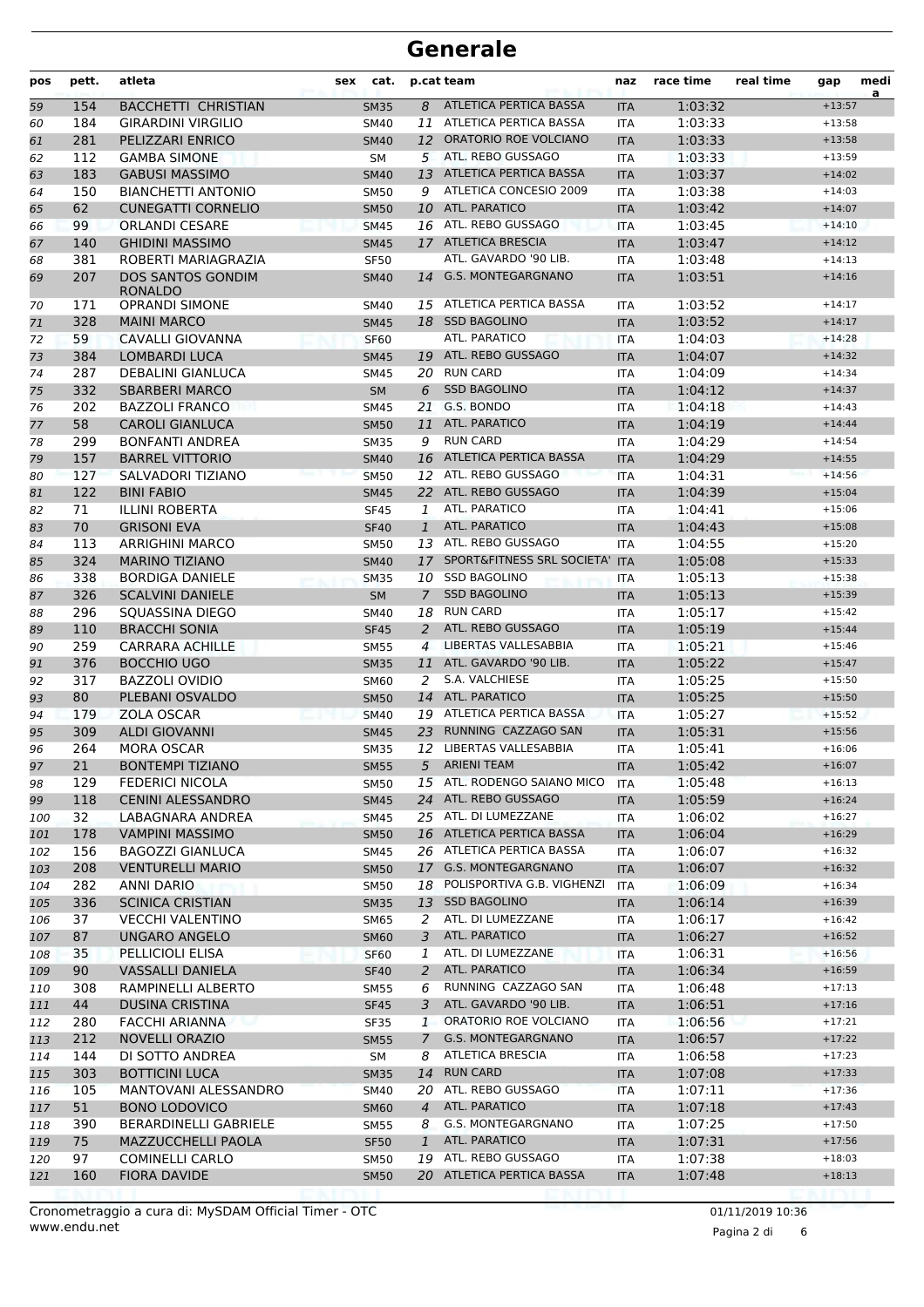| pos      | pett.      | atleta                                     | sex | cat.        |                | p.cat team                        | naz        | race time          | real time | gap                  | medi<br>a |
|----------|------------|--------------------------------------------|-----|-------------|----------------|-----------------------------------|------------|--------------------|-----------|----------------------|-----------|
| 59       | 154        | <b>BACCHETTI CHRISTIAN</b>                 |     | <b>SM35</b> | 8              | <b>ATLETICA PERTICA BASSA</b>     | <b>ITA</b> | 1:03:32            |           | $+13:57$             |           |
| 60       | 184        | <b>GIRARDINI VIRGILIO</b>                  |     | <b>SM40</b> |                | 11 ATLETICA PERTICA BASSA         | <b>ITA</b> | 1:03:33            |           | $+13:58$             |           |
| 61       | 281        | PELIZZARI ENRICO                           |     | <b>SM40</b> |                | 12 ORATORIO ROE VOLCIANO          | <b>ITA</b> | 1:03:33            |           | $+13:58$             |           |
| 62       | 112        | <b>GAMBA SIMONE</b>                        |     | SM          |                | 5 ATL. REBO GUSSAGO               | <b>ITA</b> | 1:03:33            |           | $+13:59$             |           |
| 63       | 183        | <b>GABUSI MASSIMO</b>                      |     | <b>SM40</b> | 13             | ATLETICA PERTICA BASSA            | <b>ITA</b> | 1:03:37            |           | $+14:02$             |           |
| 64       | 150        | <b>BIANCHETTI ANTONIO</b>                  |     | <b>SM50</b> | 9              | ATLETICA CONCESIO 2009            | <b>ITA</b> | 1:03:38            |           | $+14:03$             |           |
| 65       | 62         | <b>CUNEGATTI CORNELIO</b>                  |     | <b>SM50</b> |                | 10 ATL. PARATICO                  | <b>ITA</b> | 1:03:42            |           | $+14:07$             |           |
| 66       | 99         | <b>ORLANDI CESARE</b>                      |     | <b>SM45</b> |                | 16 ATL. REBO GUSSAGO              | <b>ITA</b> | 1:03:45            |           | $+14:10$             |           |
| 67       | 140        | <b>GHIDINI MASSIMO</b>                     |     | <b>SM45</b> |                | 17 ATLETICA BRESCIA               | <b>ITA</b> | 1:03:47            |           | $+14:12$             |           |
| 68       | 381        | ROBERTI MARIAGRAZIA                        |     | <b>SF50</b> |                | ATL. GAVARDO '90 LIB.             | <b>ITA</b> | 1:03:48            |           | $+14:13$             |           |
| 69       | 207        | <b>DOS SANTOS GONDIM</b><br><b>RONALDO</b> |     | <b>SM40</b> |                | 14 G.S. MONTEGARGNANO             | <b>ITA</b> | 1:03:51            |           | $+14:16$             |           |
| 70       | 171        | <b>OPRANDI SIMONE</b>                      |     | SM40        |                | 15 ATLETICA PERTICA BASSA         | <b>ITA</b> | 1:03:52            |           | $+14:17$             |           |
| 71       | 328        | <b>MAINI MARCO</b>                         |     | <b>SM45</b> |                | 18 SSD BAGOLINO                   | <b>ITA</b> | 1:03:52            |           | $+14:17$             |           |
| 72       | 59         | CAVALLI GIOVANNA                           |     | <b>SF60</b> |                | ATL. PARATICO                     | <b>ITA</b> | 1:04:03            |           | $+14:28$             |           |
| 73       | 384        | <b>LOMBARDI LUCA</b>                       |     | <b>SM45</b> |                | 19 ATL. REBO GUSSAGO              | <b>ITA</b> | 1:04:07            |           | $+14:32$             |           |
| 74       | 287        | <b>DEBALINI GIANLUCA</b>                   |     | <b>SM45</b> |                | 20 RUN CARD                       | <b>ITA</b> | 1:04:09            |           | $+14:34$             |           |
| 75       | 332        | <b>SBARBERI MARCO</b>                      |     | <b>SM</b>   | 6              | <b>SSD BAGOLINO</b>               | <b>ITA</b> | 1:04:12            |           | $+14:37$             |           |
| 76       | 202        | <b>BAZZOLI FRANCO</b>                      |     | <b>SM45</b> | 21             | G.S. BONDO                        | <b>ITA</b> | 1:04:18            |           | $+14:43$             |           |
| 77       | 58         | <b>CAROLI GIANLUCA</b>                     |     | <b>SM50</b> | 11             | ATL. PARATICO                     | <b>ITA</b> | 1:04:19            |           | $+14:44$             |           |
| 78       | 299        | <b>BONFANTI ANDREA</b>                     |     | <b>SM35</b> | 9              | <b>RUN CARD</b>                   | <b>ITA</b> | 1:04:29            |           | $+14:54$             |           |
| 79       | 157        | <b>BARREL VITTORIO</b>                     |     | <b>SM40</b> |                | 16 ATLETICA PERTICA BASSA         | <b>ITA</b> | 1:04:29            |           | $+14:55$             |           |
| 80       | 127        | SALVADORI TIZIANO                          |     | <b>SM50</b> |                | 12 ATL. REBO GUSSAGO              | <b>ITA</b> | 1:04:31            |           | $+14:56$             |           |
| 81       | 122        | <b>BINI FABIO</b>                          |     | <b>SM45</b> |                | 22 ATL. REBO GUSSAGO              | <b>ITA</b> | 1:04:39            |           | $+15:04$             |           |
| 82       | 71         | <b>ILLINI ROBERTA</b>                      |     | <b>SF45</b> | 1              | ATL. PARATICO                     | <b>ITA</b> | 1:04:41            |           | $+15:06$             |           |
| 83       | 70         | <b>GRISONI EVA</b>                         |     | <b>SF40</b> | $\mathbf{1}$   | ATL. PARATICO                     | <b>ITA</b> | 1:04:43            |           | $+15:08$             |           |
| 84       | 113        | <b>ARRIGHINI MARCO</b>                     |     | SM50        |                | 13 ATL. REBO GUSSAGO              | <b>ITA</b> | 1:04:55            |           | $+15:20$             |           |
| 85       | 324        | <b>MARINO TIZIANO</b>                      |     | <b>SM40</b> |                | 17 SPORT&FITNESS SRL SOCIETA' ITA |            | 1:05:08            |           | $+15:33$             |           |
| 86       | 338        | <b>BORDIGA DANIELE</b>                     |     | <b>SM35</b> | 10             | <b>SSD BAGOLINO</b>               | ITA        | 1:05:13            |           | $+15:38$             |           |
| 87       | 326        | <b>SCALVINI DANIELE</b>                    |     | <b>SM</b>   | $\overline{7}$ | <b>SSD BAGOLINO</b>               | <b>ITA</b> | 1:05:13            |           | $+15:39$             |           |
| 88       | 296        | SQUASSINA DIEGO                            |     | SM40        | 18             | <b>RUN CARD</b>                   | <b>ITA</b> | 1:05:17            |           | $+15:42$             |           |
| 89       | 110        | <b>BRACCHI SONIA</b>                       |     | <b>SF45</b> | 2              | ATL. REBO GUSSAGO                 | <b>ITA</b> | 1:05:19            |           | $+15:44$             |           |
| 90       | 259        | <b>CARRARA ACHILLE</b>                     |     | <b>SM55</b> | $\overline{4}$ | LIBERTAS VALLESABBIA              | <b>ITA</b> | 1:05:21            |           | $+15:46$             |           |
| 91       | 376        | <b>BOCCHIO UGO</b>                         |     | <b>SM35</b> |                | 11 ATL. GAVARDO '90 LIB.          | <b>ITA</b> | 1:05:22            |           | $+15:47$             |           |
| 92       | 317        | <b>BAZZOLI OVIDIO</b>                      |     | SM60        | 2              | S.A. VALCHIESE                    | <b>ITA</b> | 1:05:25            |           | $+15:50$             |           |
| 93       | 80         | PLEBANI OSVALDO                            |     | <b>SM50</b> | 14             | ATL. PARATICO                     | <b>ITA</b> | 1:05:25            |           | $+15:50$             |           |
| 94       | 179        | ZOLA OSCAR                                 |     | <b>SM40</b> |                | 19 ATLETICA PERTICA BASSA         | <b>ITA</b> | 1:05:27            |           | $+15:52$             |           |
| 95       | 309        | <b>ALDI GIOVANNI</b>                       |     | <b>SM45</b> | 23             | RUNNING CAZZAGO SAN               | <b>ITA</b> | 1:05:31            |           | $+15:56$             |           |
| 96       | 264        | <b>MORA OSCAR</b>                          |     | <b>SM35</b> |                | 12 LIBERTAS VALLESABBIA           | <b>ITA</b> | 1:05:41            |           | $+16:06$             |           |
|          | 21         | <b>BONTEMPI TIZIANO</b>                    |     | <b>SM55</b> |                | 5 ARIENI TEAM                     | <b>ITA</b> | 1:05:42            |           | $+16:07$             |           |
| 97       | 129        | <b>FEDERICI NICOLA</b>                     |     | SM50        |                | 15 ATL. RODENGO SAIANO MICO       | <b>ITA</b> | 1:05:48            |           | $+16:13$             |           |
| 98<br>99 | 118        | <b>CENINI ALESSANDRO</b>                   |     | <b>SM45</b> |                | 24 ATL. REBO GUSSAGO              | <b>ITA</b> | 1:05:59            |           | $+16:24$             |           |
| 100      | 32         | LABAGNARA ANDREA                           |     | SM45        |                | 25 ATL. DI LUMEZZANE              | ITA        | 1:06:02            |           | $+16:27$             |           |
|          | 178        | <b>VAMPINI MASSIMO</b>                     |     | <b>SM50</b> |                | 16 ATLETICA PERTICA BASSA         | <b>ITA</b> | 1:06:04            |           | $+16:29$             |           |
| 101      | 156        | <b>BAGOZZI GIANLUCA</b>                    |     |             |                | 26 ATLETICA PERTICA BASSA         |            | 1:06:07            |           | $+16:32$             |           |
| 102      | 208        | <b>VENTURELLI MARIO</b>                    |     | SM45        |                | 17 G.S. MONTEGARGNANO             | ITA        | 1:06:07            |           | $+16:32$             |           |
| 103      |            |                                            |     | <b>SM50</b> |                | 18 POLISPORTIVA G.B. VIGHENZI     | <b>ITA</b> |                    |           | $+16:34$             |           |
| 104      | 282<br>336 | ANNI DARIO<br><b>SCINICA CRISTIAN</b>      |     | SM50        |                | 13 SSD BAGOLINO                   | ITA        | 1:06:09<br>1:06:14 |           | $+16:39$             |           |
| 105      |            |                                            |     | <b>SM35</b> |                | ATL. DI LUMEZZANE                 | <b>ITA</b> |                    |           |                      |           |
| 106      | 37         | <b>VECCHI VALENTINO</b>                    |     | SM65        | 2              | ATL. PARATICO                     | ITA        | 1:06:17            |           | $+16:42$<br>$+16:52$ |           |
| 107      | 87         | <b>UNGARO ANGELO</b>                       |     | <b>SM60</b> | 3              | ATL. DI LUMEZZANE                 | <b>ITA</b> | 1:06:27            |           |                      |           |
| 108      | 35         | PELLICIOLI ELISA                           |     | <b>SF60</b> | 1              |                                   | <b>ITA</b> | 1:06:31            |           | $+16:56$             |           |
| 109      | 90         | <b>VASSALLI DANIELA</b>                    |     | <b>SF40</b> | 2              | ATL. PARATICO                     | <b>ITA</b> | 1:06:34            |           | $+16:59$             |           |
| 110      | 308        | RAMPINELLI ALBERTO                         |     | SM55        | 6              | RUNNING CAZZAGO SAN               | ITA        | 1:06:48            |           | $+17:13$             |           |
| 111      | 44         | <b>DUSINA CRISTINA</b>                     |     | <b>SF45</b> | 3              | ATL. GAVARDO '90 LIB.             | <b>ITA</b> | 1:06:51            |           | $+17:16$             |           |
| 112      | 280        | <b>FACCHI ARIANNA</b>                      |     | <b>SF35</b> | 1              | ORATORIO ROE VOLCIANO             | ITA        | 1:06:56            |           | $+17:21$             |           |
| 113      | 212        | <b>NOVELLI ORAZIO</b>                      |     | <b>SM55</b> | $\mathcal{I}$  | G.S. MONTEGARGNANO                | <b>ITA</b> | 1:06:57            |           | $+17:22$             |           |
| 114      | 144        | DI SOTTO ANDREA                            |     | SM          | 8              | ATLETICA BRESCIA                  | ITA        | 1:06:58            |           | $+17:23$             |           |
| 115      | 303        | <b>BOTTICINI LUCA</b>                      |     | <b>SM35</b> |                | 14 RUN CARD                       | <b>ITA</b> | 1:07:08            |           | $+17:33$             |           |
| 116      | 105        | MANTOVANI ALESSANDRO                       |     | SM40        |                | 20 ATL. REBO GUSSAGO              | ITA        | 1:07:11            |           | $+17:36$             |           |
| 117      | 51         | <b>BONO LODOVICO</b>                       |     | <b>SM60</b> | $\overline{4}$ | ATL. PARATICO                     | <b>ITA</b> | 1:07:18            |           | $+17:43$             |           |
| 118      | 390        | BERARDINELLI GABRIELE                      |     | SM55        | 8              | G.S. MONTEGARGNANO                | ITA        | 1:07:25            |           | $+17:50$             |           |
| 119      | 75         | <b>MAZZUCCHELLI PAOLA</b>                  |     | <b>SF50</b> | $\mathbf{1}$   | ATL. PARATICO                     | <b>ITA</b> | 1:07:31            |           | $+17:56$             |           |
| 120      | 97         | <b>COMINELLI CARLO</b>                     |     | SM50        |                | 19 ATL. REBO GUSSAGO              | ITA        | 1:07:38            |           | $+18:03$             |           |
| 121      | 160        | <b>FIORA DAVIDE</b>                        |     | <b>SM50</b> |                | 20 ATLETICA PERTICA BASSA         | <b>ITA</b> | 1:07:48            |           | $+18:13$             |           |
|          |            |                                            |     |             |                |                                   |            |                    |           |                      |           |

Pagina 2 di 6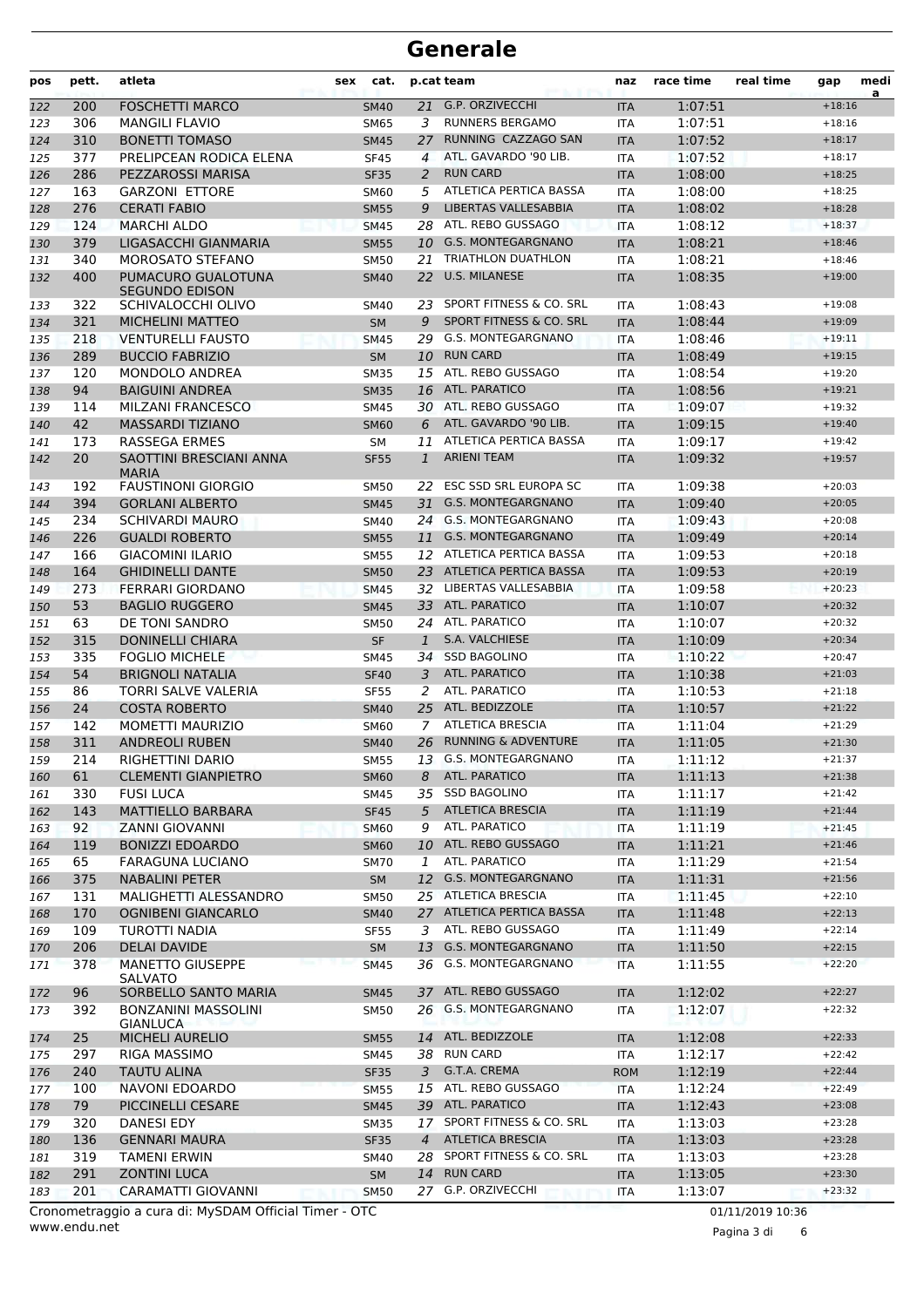| pos        | pett.      | atleta                                      | sex | cat.                     |                | p.cat team                                   | naz               | race time          | real time | gap                  | medi<br>a |
|------------|------------|---------------------------------------------|-----|--------------------------|----------------|----------------------------------------------|-------------------|--------------------|-----------|----------------------|-----------|
| 122        | 200        | <b>FOSCHETTI MARCO</b>                      |     | <b>SM40</b>              |                | 21 G.P. ORZIVECCHI                           | <b>ITA</b>        | 1:07:51            |           | $+18:16$             |           |
| 123        | 306        | <b>MANGILI FLAVIO</b>                       |     | <b>SM65</b>              | 3              | <b>RUNNERS BERGAMO</b>                       | <b>ITA</b>        | 1:07:51            |           | $+18:16$             |           |
| 124        | 310        | <b>BONETTI TOMASO</b>                       |     | <b>SM45</b>              | 27             | RUNNING CAZZAGO SAN                          | <b>ITA</b>        | 1:07:52            |           | $+18:17$             |           |
| 125        | 377        | PRELIPCEAN RODICA ELENA                     |     | <b>SF45</b>              | $\overline{a}$ | ATL. GAVARDO '90 LIB.                        | <b>ITA</b>        | 1:07:52            |           | $+18:17$             |           |
| 126        | 286        | PEZZAROSSI MARISA                           |     | <b>SF35</b>              | 2              | <b>RUN CARD</b>                              | <b>ITA</b>        | 1:08:00            |           | $+18:25$             |           |
| 127        | 163        | <b>GARZONI ETTORE</b>                       |     | <b>SM60</b>              | 5              | ATLETICA PERTICA BASSA                       | <b>ITA</b>        | 1:08:00            |           | $+18:25$             |           |
| 128        | 276        | <b>CERATI FABIO</b>                         |     | <b>SM55</b>              | 9              | LIBERTAS VALLESABBIA                         | <b>ITA</b>        | 1:08:02            |           | $+18:28$             |           |
| 129        | 124        | <b>MARCHI ALDO</b>                          |     | <b>SM45</b>              |                | 28 ATL. REBO GUSSAGO                         | <b>ITA</b>        | 1:08:12            |           | $+18:37$             |           |
| 130        | 379        | LIGASACCHI GIANMARIA                        |     | <b>SM55</b>              |                | 10 G.S. MONTEGARGNANO                        | <b>ITA</b>        | 1:08:21            |           | $+18:46$             |           |
| 131        | 340        | MOROSATO STEFANO                            |     | SM50                     | 21             | <b>TRIATHLON DUATHLON</b>                    | <b>ITA</b>        | 1:08:21            |           | $+18:46$             |           |
| 132        | 400        | PUMACURO GUALOTUNA<br><b>SEGUNDO EDISON</b> |     | <b>SM40</b>              | 22             | <b>U.S. MILANESE</b>                         | <b>ITA</b>        | 1:08:35            |           | $+19:00$             |           |
| 133        | 322        | SCHIVALOCCHI OLIVO                          |     | SM40                     | 23             | SPORT FITNESS & CO. SRL                      | <b>ITA</b>        | 1:08:43            |           | $+19:08$             |           |
| 134        | 321        | <b>MICHELINI MATTEO</b>                     |     | <b>SM</b>                | 9              | SPORT FITNESS & CO. SRL                      | <b>ITA</b>        | 1:08:44            |           | $+19:09$             |           |
| 135        | 218        | <b>VENTURELLI FAUSTO</b>                    |     | <b>SM45</b>              | 29             | G.S. MONTEGARGNANO                           | <b>ITA</b>        | 1:08:46            |           | $+19:11$             |           |
| 136        | 289        | <b>BUCCIO FABRIZIO</b>                      |     | <b>SM</b>                | 10             | <b>RUN CARD</b>                              | <b>ITA</b>        | 1:08:49            |           | $+19:15$             |           |
| 137        | 120        | MONDOLO ANDREA                              |     | <b>SM35</b>              |                | 15 ATL. REBO GUSSAGO                         | <b>ITA</b>        | 1:08:54            |           | $+19:20$             |           |
| 138        | 94         | <b>BAIGUINI ANDREA</b>                      |     | <b>SM35</b>              |                | 16 ATL. PARATICO                             | <b>ITA</b>        | 1:08:56            |           | $+19:21$             |           |
| 139        | 114        | <b>MILZANI FRANCESCO</b>                    |     | SM45                     |                | 30 ATL. REBO GUSSAGO                         | <b>ITA</b>        | 1:09:07            |           | $+19:32$             |           |
| 140        | 42         | <b>MASSARDI TIZIANO</b>                     |     | <b>SM60</b>              | 6              | ATL. GAVARDO '90 LIB.                        | <b>ITA</b>        | 1:09:15            |           | $+19:40$             |           |
| 141        | 173        | <b>RASSEGA ERMES</b>                        |     | <b>SM</b>                | 11             | ATLETICA PERTICA BASSA                       | <b>ITA</b>        | 1:09:17            |           | $+19:42$             |           |
| 142        | 20         | SAOTTINI BRESCIANI ANNA<br><b>MARIA</b>     |     | <b>SF55</b>              | 1              | <b>ARIENI TEAM</b>                           | <b>ITA</b>        | 1:09:32            |           | $+19:57$             |           |
| 143        | 192        | <b>FAUSTINONI GIORGIO</b>                   |     | <b>SM50</b>              | 22             | ESC SSD SRL EUROPA SC                        | <b>ITA</b>        | 1:09:38            |           | $+20:03$             |           |
| 144        | 394        | <b>GORLANI ALBERTO</b>                      |     | <b>SM45</b>              | 31             | <b>G.S. MONTEGARGNANO</b>                    | <b>ITA</b>        | 1:09:40            |           | $+20:05$             |           |
| 145        | 234        | <b>SCHIVARDI MAURO</b>                      |     | <b>SM40</b>              |                | 24 G.S. MONTEGARGNANO                        | ITA               | 1:09:43            |           | $+20:08$             |           |
| 146        | 226        | <b>GUALDI ROBERTO</b>                       |     | <b>SM55</b>              | 11             | <b>G.S. MONTEGARGNANO</b>                    | <b>ITA</b>        | 1:09:49            |           | $+20:14$             |           |
| 147        | 166        | <b>GIACOMINI ILARIO</b>                     |     | <b>SM55</b>              |                | 12 ATLETICA PERTICA BASSA                    | <b>ITA</b>        | 1:09:53            |           | $+20:18$             |           |
| 148        | 164        | <b>GHIDINELLI DANTE</b>                     |     | <b>SM50</b>              |                | 23 ATLETICA PERTICA BASSA                    | <b>ITA</b>        | 1:09:53            |           | $+20:19$             |           |
| 149        | 273        | FERRARI GIORDANO                            |     | <b>SM45</b>              |                | 32 LIBERTAS VALLESABBIA                      | <b>ITA</b>        | 1:09:58            |           | $+20:23$             |           |
| 150        | 53         | <b>BAGLIO RUGGERO</b>                       |     | <b>SM45</b>              |                | 33 ATL. PARATICO                             | <b>ITA</b>        | 1:10:07            |           | $+20:32$             |           |
| 151        | 63         | DE TONI SANDRO                              |     | <b>SM50</b>              |                | 24 ATL. PARATICO                             | <b>ITA</b>        | 1:10:07            |           | $+20:32$             |           |
| 152        | 315        | <b>DONINELLI CHIARA</b>                     |     | <b>SF</b>                | 1              | S.A. VALCHIESE                               | <b>ITA</b>        | 1:10:09            |           | $+20:34$             |           |
| 153        | 335        | <b>FOGLIO MICHELE</b>                       |     | <b>SM45</b>              | 34             | <b>SSD BAGOLINO</b>                          | <b>ITA</b>        | 1:10:22            |           | $+20:47$             |           |
| 154        | 54         | <b>BRIGNOLI NATALIA</b>                     |     | <b>SF40</b>              | 3.             | ATL. PARATICO                                | <b>ITA</b>        | 1:10:38            |           | $+21:03$             |           |
| 155        | 86         | TORRI SALVE VALERIA                         |     | <b>SF55</b>              | 2              | ATL. PARATICO                                | ITA               | 1:10:53            |           | $+21:18$             |           |
| 156        | 24         | <b>COSTA ROBERTO</b>                        |     | <b>SM40</b>              |                | 25 ATL. BEDIZZOLE<br><b>ATLETICA BRESCIA</b> | <b>ITA</b>        | 1:10:57            |           | $+21:22$             |           |
| 157        | 142        | <b>MOMETTI MAURIZIO</b>                     |     | <b>SM60</b>              | $\overline{7}$ |                                              | <b>ITA</b>        | 1:11:04            |           | $+21:29$             |           |
| 158        | 311        | <b>ANDREOLI RUBEN</b>                       |     | <b>SM40</b>              | 26             | <b>RUNNING &amp; ADVENTURE</b>               | <b>ITA</b>        | 1:11:05            |           | $+21:30$             |           |
| 159        | 214        | <b>RIGHETTINI DARIO</b>                     |     | <b>SM55</b>              |                | 13 G.S. MONTEGARGNANO<br>ATL. PARATICO       | <b>ITA</b>        | 1:11:12            |           | $+21:37$             |           |
| 160        | 61         | <b>CLEMENTI GIANPIETRO</b>                  |     | <b>SM60</b>              | 8              |                                              | ITA               | 1:11:13            |           | $+21:38$             |           |
| 161        | 330        | <b>FUSI LUCA</b>                            |     | SM45                     |                | 35 SSD BAGOLINO<br>5 ATLETICA BRESCIA        | ITA               | 1:11:17            |           | $+21:42$<br>$+21:44$ |           |
| 162        | 143<br>92  | <b>MATTIELLO BARBARA</b>                    |     | <b>SF45</b>              |                | ATL. PARATICO                                | <b>ITA</b>        | 1:11:19            |           |                      |           |
| 163        |            | ZANNI GIOVANNI<br><b>BONIZZI EDOARDO</b>    |     | <b>SM60</b>              | 9              | 10 ATL. REBO GUSSAGO                         | ITA               | 1:11:19            |           | $+21:45$<br>$+21:46$ |           |
| 164        | 119        |                                             |     | <b>SM60</b>              |                | ATL. PARATICO                                | <b>ITA</b>        | 1:11:21            |           | $+21:54$             |           |
| 165        | 65         | FARAGUNA LUCIANO                            |     | <b>SM70</b>              | 1              | 12 G.S. MONTEGARGNANO                        | ITA               | 1:11:29            |           | $+21:56$             |           |
| 166        | 375        | <b>NABALINI PETER</b>                       |     | SM                       |                | 25 ATLETICA BRESCIA                          | <b>ITA</b>        | 1:11:31            |           |                      |           |
| 167        | 131        | MALIGHETTI ALESSANDRO                       |     | SM50                     |                | 27 ATLETICA PERTICA BASSA                    | ITA               | 1:11:45<br>1:11:48 |           | $+22:10$<br>$+22:13$ |           |
| 168        | 170<br>109 | <b>OGNIBENI GIANCARLO</b><br>TUROTTI NADIA  |     | <b>SM40</b>              |                | ATL. REBO GUSSAGO                            | <b>ITA</b>        |                    |           |                      |           |
| 169        |            | <b>DELAI DAVIDE</b>                         |     | <b>SF55</b>              | 3              | <b>G.S. MONTEGARGNANO</b>                    | ITA               | 1:11:49            |           | $+22:14$             |           |
| 170<br>171 | 206<br>378 | <b>MANETTO GIUSEPPE</b>                     |     | <b>SM</b><br><b>SM45</b> | 13<br>36       | G.S. MONTEGARGNANO                           | <b>ITA</b><br>ITA | 1:11:50<br>1:11:55 |           | $+22:15$<br>$+22:20$ |           |
| 172        | 96         | <b>SALVATO</b><br>SORBELLO SANTO MARIA      |     | <b>SM45</b>              |                | 37 ATL. REBO GUSSAGO                         | <b>ITA</b>        | 1:12:02            |           | $+22:27$             |           |
| 173        | 392        | <b>BONZANINI MASSOLINI</b>                  |     | SM50                     |                | 26 G.S. MONTEGARGNANO                        | ITA               | 1:12:07            |           | $+22:32$             |           |
|            | 25         | <b>GIANLUCA</b><br><b>MICHELI AURELIO</b>   |     | <b>SM55</b>              |                | 14 ATL. BEDIZZOLE                            | <b>ITA</b>        | 1:12:08            |           | $+22:33$             |           |
| 174<br>175 | 297        | RIGA MASSIMO                                |     | SM45                     |                | 38 RUN CARD                                  | ITA               | 1:12:17            |           | $+22:42$             |           |
|            | 240        | <b>TAUTU ALINA</b>                          |     | <b>SF35</b>              | 3              | G.T.A. CREMA                                 |                   | 1:12:19            |           | $+22:44$             |           |
| 176        | 100        | NAVONI EDOARDO                              |     |                          |                | 15 ATL. REBO GUSSAGO                         | <b>ROM</b>        | 1:12:24            |           | $+22:49$             |           |
| 177        | 79         | PICCINELLI CESARE                           |     | <b>SM55</b>              |                | 39 ATL. PARATICO                             | <b>ITA</b>        | 1:12:43            |           | $+23:08$             |           |
| 178        | 320        | <b>DANESI EDY</b>                           |     | <b>SM45</b>              |                | 17 SPORT FITNESS & CO. SRL                   | <b>ITA</b><br>ITA | 1:13:03            |           | $+23:28$             |           |
| 179        | 136        | <b>GENNARI MAURA</b>                        |     | SM35                     | $\overline{4}$ | <b>ATLETICA BRESCIA</b>                      | <b>ITA</b>        | 1:13:03            |           | $+23:28$             |           |
| 180        | 319        | <b>TAMENI ERWIN</b>                         |     | <b>SF35</b>              |                | 28 SPORT FITNESS & CO. SRL                   |                   | 1:13:03            |           | $+23:28$             |           |
| 181<br>182 | 291        | <b>ZONTINI LUCA</b>                         |     | SM40<br>SM               |                | 14 RUN CARD                                  | ITA<br><b>ITA</b> | 1:13:05            |           | $+23:30$             |           |
|            | 201        | CARAMATTI GIOVANNI                          |     |                          |                | 27 G.P. ORZIVECCHI                           |                   | 1:13:07            |           | $+23:32$             |           |
| 183        |            |                                             |     | <b>SM50</b>              |                |                                              | ITA               |                    |           |                      |           |

www.endu.net Cronometraggio a cura di: MySDAM Official Timer - OTC 01/11/2019 10:36

Pagina 3 di 6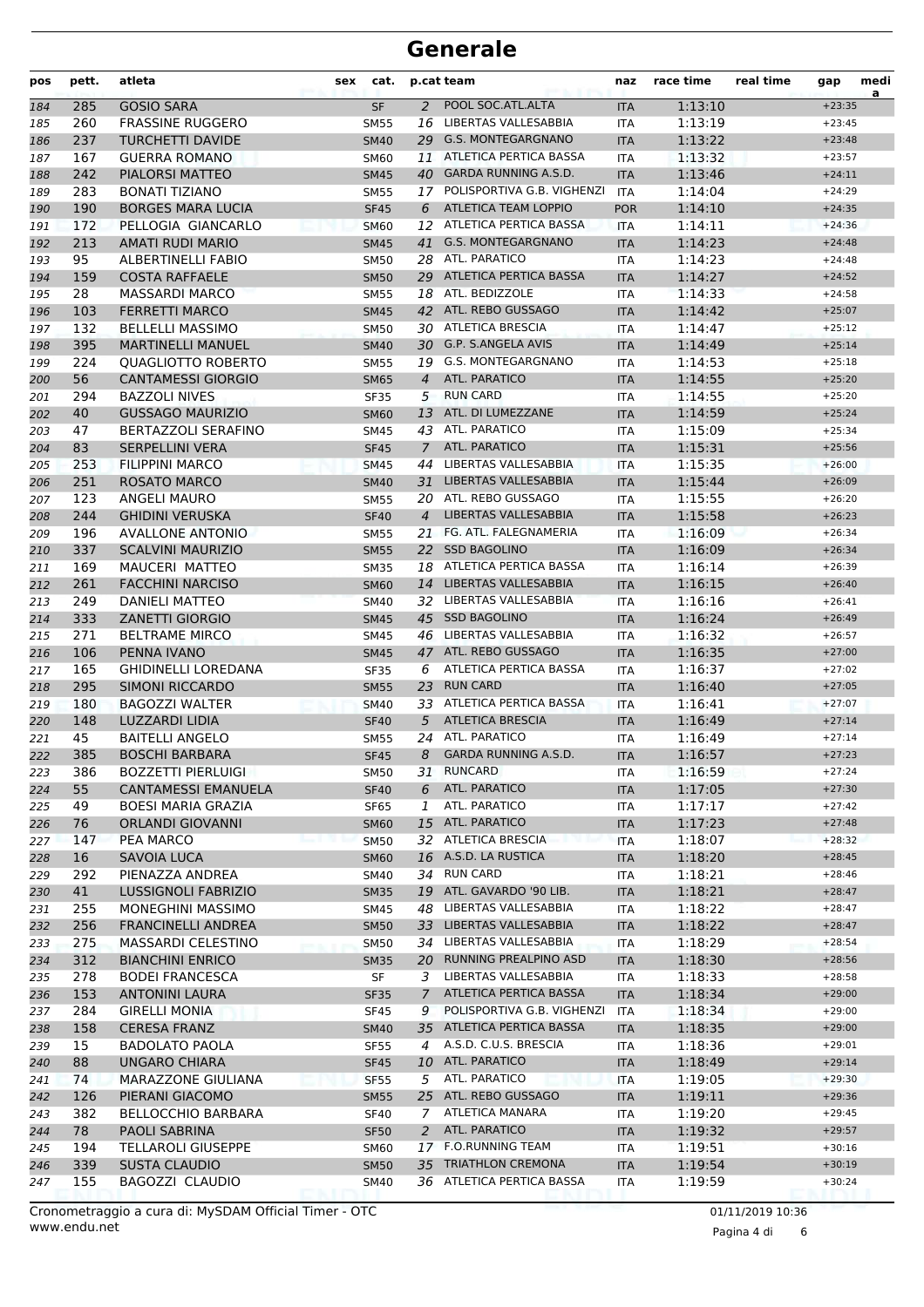| pos | pett. | atleta                     | <b>sex</b> | cat.        |                | p.cat team                    | naz        | race time | real time | gap      | medi<br>a |
|-----|-------|----------------------------|------------|-------------|----------------|-------------------------------|------------|-----------|-----------|----------|-----------|
| 184 | 285   | <b>GOSIO SARA</b>          |            | <b>SF</b>   | 2              | POOL SOC.ATL.ALTA             | <b>ITA</b> | 1:13:10   |           | $+23:35$ |           |
| 185 | 260   | <b>FRASSINE RUGGERO</b>    |            | <b>SM55</b> | 16             | LIBERTAS VALLESABBIA          | ITA        | 1:13:19   |           | $+23:45$ |           |
| 186 | 237   | <b>TURCHETTI DAVIDE</b>    |            | <b>SM40</b> |                | 29 G.S. MONTEGARGNANO         | <b>ITA</b> | 1:13:22   |           | $+23:48$ |           |
| 187 | 167   | <b>GUERRA ROMANO</b>       |            | <b>SM60</b> | 11             | ATLETICA PERTICA BASSA        | <b>ITA</b> | 1:13:32   |           | $+23:57$ |           |
| 188 | 242   | PIALORSI MATTEO            |            | <b>SM45</b> |                | 40 GARDA RUNNING A.S.D.       | <b>ITA</b> | 1:13:46   |           | $+24:11$ |           |
| 189 | 283   | <b>BONATI TIZIANO</b>      |            | <b>SM55</b> |                | 17 POLISPORTIVA G.B. VIGHENZI | <b>ITA</b> | 1:14:04   |           | $+24:29$ |           |
| 190 | 190   | <b>BORGES MARA LUCIA</b>   |            | <b>SF45</b> | 6              | ATLETICA TEAM LOPPIO          | <b>POR</b> | 1:14:10   |           | $+24:35$ |           |
| 191 | 172   | PELLOGIA GIANCARLO         |            | <b>SM60</b> |                | 12 ATLETICA PERTICA BASSA     | <b>ITA</b> | 1:14:11   |           | $+24:36$ |           |
| 192 | 213   | AMATI RUDI MARIO           |            | <b>SM45</b> | 41             | <b>G.S. MONTEGARGNANO</b>     | <b>ITA</b> | 1:14:23   |           | $+24:48$ |           |
| 193 | 95    | <b>ALBERTINELLI FABIO</b>  |            | <b>SM50</b> |                | 28 ATL. PARATICO              | ITA        | 1:14:23   |           | $+24:48$ |           |
| 194 | 159   | <b>COSTA RAFFAELE</b>      |            | <b>SM50</b> |                | 29 ATLETICA PERTICA BASSA     | <b>ITA</b> | 1:14:27   |           | $+24:52$ |           |
| 195 | 28    | <b>MASSARDI MARCO</b>      |            | <b>SM55</b> |                | 18 ATL. BEDIZZOLE             | ITA        | 1:14:33   |           | $+24:58$ |           |
| 196 | 103   | <b>FERRETTI MARCO</b>      |            | <b>SM45</b> |                | 42 ATL. REBO GUSSAGO          | <b>ITA</b> | 1:14:42   |           | $+25:07$ |           |
| 197 | 132   | <b>BELLELLI MASSIMO</b>    |            | SM50        |                | 30 ATLETICA BRESCIA           | ITA        | 1:14:47   |           | $+25:12$ |           |
| 198 | 395   | <b>MARTINELLI MANUEL</b>   |            | <b>SM40</b> |                | 30 G.P. S.ANGELA AVIS         | <b>ITA</b> | 1:14:49   |           | $+25:14$ |           |
| 199 | 224   | <b>QUAGLIOTTO ROBERTO</b>  |            | <b>SM55</b> |                | 19 G.S. MONTEGARGNANO         | <b>ITA</b> | 1:14:53   |           | $+25:18$ |           |
| 200 | 56    | <b>CANTAMESSI GIORGIO</b>  |            | <b>SM65</b> | $\overline{4}$ | <b>ATL. PARATICO</b>          | <b>ITA</b> | 1:14:55   |           | $+25:20$ |           |
| 201 | 294   | <b>BAZZOLI NIVES</b>       |            | <b>SF35</b> |                | 5 RUN CARD                    | <b>ITA</b> | 1:14:55   |           | $+25:20$ |           |
| 202 | 40    | <b>GUSSAGO MAURIZIO</b>    |            | <b>SM60</b> | 13             | ATL. DI LUMEZZANE             | <b>ITA</b> | 1:14:59   |           | $+25:24$ |           |
| 203 | 47    | <b>BERTAZZOLI SERAFINO</b> |            | SM45        |                | 43 ATL. PARATICO              | ITA        | 1:15:09   |           | $+25:34$ |           |
| 204 | 83    | <b>SERPELLINI VERA</b>     |            | <b>SF45</b> | $\overline{7}$ | <b>ATL. PARATICO</b>          | <b>ITA</b> | 1:15:31   |           | $+25:56$ |           |
| 205 | 253   | <b>FILIPPINI MARCO</b>     |            | <b>SM45</b> | 44             | LIBERTAS VALLESABBIA          | <b>ITA</b> | 1:15:35   |           | $+26:00$ |           |
| 206 | 251   | <b>ROSATO MARCO</b>        |            | <b>SM40</b> | 31             | LIBERTAS VALLESABBIA          | <b>ITA</b> | 1:15:44   |           | $+26:09$ |           |
| 207 | 123   | <b>ANGELI MAURO</b>        |            | <b>SM55</b> |                | 20 ATL. REBO GUSSAGO          | <b>ITA</b> | 1:15:55   |           | $+26:20$ |           |
| 208 | 244   | <b>GHIDINI VERUSKA</b>     |            | <b>SF40</b> | $\overline{4}$ | <b>LIBERTAS VALLESABBIA</b>   | <b>ITA</b> | 1:15:58   |           | $+26:23$ |           |
| 209 | 196   | <b>AVALLONE ANTONIO</b>    |            | <b>SM55</b> |                | 21 FG. ATL. FALEGNAMERIA      | ITA        | 1:16:09   |           | $+26:34$ |           |
| 210 | 337   | <b>SCALVINI MAURIZIO</b>   |            | <b>SM55</b> |                | 22 SSD BAGOLINO               | <b>ITA</b> | 1:16:09   |           | $+26:34$ |           |
| 211 | 169   | <b>MAUCERI MATTEO</b>      |            | <b>SM35</b> |                | 18 ATLETICA PERTICA BASSA     | <b>ITA</b> | 1:16:14   |           | $+26:39$ |           |
| 212 | 261   | <b>FACCHINI NARCISO</b>    |            | <b>SM60</b> |                | 14 LIBERTAS VALLESABBIA       | <b>ITA</b> | 1:16:15   |           | $+26:40$ |           |
| 213 | 249   | DANIELI MATTEO             |            | <b>SM40</b> |                | 32 LIBERTAS VALLESABBIA       | <b>ITA</b> | 1:16:16   |           | $+26:41$ |           |
| 214 | 333   | <b>ZANETTI GIORGIO</b>     |            | <b>SM45</b> |                | 45 SSD BAGOLINO               | <b>ITA</b> | 1:16:24   |           | $+26:49$ |           |
| 215 | 271   | <b>BELTRAME MIRCO</b>      |            | <b>SM45</b> |                | 46 LIBERTAS VALLESABBIA       | ITA        | 1:16:32   |           | $+26:57$ |           |
| 216 | 106   | PENNA IVANO                |            | <b>SM45</b> |                | 47 ATL. REBO GUSSAGO          | <b>ITA</b> | 1:16:35   |           | $+27:00$ |           |
| 217 | 165   | <b>GHIDINELLI LOREDANA</b> |            | <b>SF35</b> | 6              | ATLETICA PERTICA BASSA        | <b>ITA</b> | 1:16:37   |           | $+27:02$ |           |
| 218 | 295   | <b>SIMONI RICCARDO</b>     |            | <b>SM55</b> | 23             | <b>RUN CARD</b>               | <b>ITA</b> | 1:16:40   |           | $+27:05$ |           |
| 219 | 180   | <b>BAGOZZI WALTER</b>      |            | <b>SM40</b> |                | 33 ATLETICA PERTICA BASSA     | <b>ITA</b> | 1:16:41   |           | $+27:07$ |           |
| 220 | 148   | <b>LUZZARDI LIDIA</b>      |            | <b>SF40</b> | 5              | <b>ATLETICA BRESCIA</b>       | <b>ITA</b> | 1:16:49   |           | $+27:14$ |           |
| 221 | 45    | <b>BAITELLI ANGELO</b>     |            | <b>SM55</b> | 24             | ATL. PARATICO                 | ITA        | 1:16:49   |           | $+27:14$ |           |
| 222 | 385   | <b>BOSCHI BARBARA</b>      |            | <b>SF45</b> | 8              | <b>GARDA RUNNING A.S.D.</b>   | <b>ITA</b> | 1:16:57   |           | $+27:23$ |           |
| 223 | 386   | <b>BOZZETTI PIERLUIGI</b>  |            | <b>SM50</b> |                | 31 RUNCARD                    | ITA        | 1:16:59   |           | $+27:24$ |           |
| 224 | 55    | <b>CANTAMESSI EMANUELA</b> |            | <b>SF40</b> | 6              | ATL. PARATICO                 | <b>ITA</b> | 1:17:05   |           | $+27:30$ |           |
| 225 | 49    | <b>BOESI MARIA GRAZIA</b>  |            | <b>SF65</b> | 1              | ATL. PARATICO                 | ITA        | 1:17:17   |           | $+27:42$ |           |
| 226 | 76    | <b>ORLANDI GIOVANNI</b>    |            | <b>SM60</b> |                | 15 ATL. PARATICO              | <b>ITA</b> | 1:17:23   |           | $+27:48$ |           |
| 227 | 147   | PEA MARCO                  |            | <b>SM50</b> |                | 32 ATLETICA BRESCIA           | ITA        | 1:18:07   |           | $+28:32$ |           |
| 228 | 16    | SAVOIA LUCA                |            | <b>SM60</b> |                | 16 A.S.D. LA RUSTICA          | <b>ITA</b> | 1:18:20   |           | $+28:45$ |           |
| 229 | 292   | PIENAZZA ANDREA            |            | SM40        |                | 34 RUN CARD                   | <b>ITA</b> | 1:18:21   |           | $+28:46$ |           |
| 230 | 41    | <b>LUSSIGNOLI FABRIZIO</b> |            | <b>SM35</b> |                | 19 ATL. GAVARDO '90 LIB.      | <b>ITA</b> | 1:18:21   |           | $+28:47$ |           |
| 231 | 255   | <b>MONEGHINI MASSIMO</b>   |            | SM45        |                | 48 LIBERTAS VALLESABBIA       | ITA        | 1:18:22   |           | $+28:47$ |           |
| 232 | 256   | <b>FRANCINELLI ANDREA</b>  |            | <b>SM50</b> |                | 33 LIBERTAS VALLESABBIA       | <b>ITA</b> | 1:18:22   |           | $+28:47$ |           |
| 233 | 275   | <b>MASSARDI CELESTINO</b>  |            | <b>SM50</b> |                | 34 LIBERTAS VALLESABBIA       | ITA        | 1:18:29   |           | $+28:54$ |           |
| 234 | 312   | <b>BIANCHINI ENRICO</b>    |            | <b>SM35</b> |                | 20 RUNNING PREALPINO ASD      | <b>ITA</b> | 1:18:30   |           | $+28:56$ |           |
| 235 | 278   | <b>BODEI FRANCESCA</b>     |            | SF          | 3              | LIBERTAS VALLESABBIA          | ITA        | 1:18:33   |           | $+28:58$ |           |
| 236 | 153   | <b>ANTONINI LAURA</b>      |            | <b>SF35</b> | 7              | ATLETICA PERTICA BASSA        | <b>ITA</b> | 1:18:34   |           | $+29:00$ |           |
| 237 | 284   | <b>GIRELLI MONIA</b>       |            | <b>SF45</b> | 9              | POLISPORTIVA G.B. VIGHENZI    | <b>ITA</b> | 1:18:34   |           | $+29:00$ |           |
| 238 | 158   | <b>CERESA FRANZ</b>        |            | <b>SM40</b> |                | 35 ATLETICA PERTICA BASSA     | <b>ITA</b> | 1:18:35   |           | $+29:00$ |           |
| 239 | 15    | <b>BADOLATO PAOLA</b>      |            | <b>SF55</b> | 4              | A.S.D. C.U.S. BRESCIA         | ITA        | 1:18:36   |           | $+29:01$ |           |
| 240 | 88    | <b>UNGARO CHIARA</b>       |            | <b>SF45</b> |                | 10 ATL. PARATICO              | <b>ITA</b> | 1:18:49   |           | $+29:14$ |           |
| 241 | 74    | MARAZZONE GIULIANA         |            | <b>SF55</b> | 5              | ATL. PARATICO                 | <b>ITA</b> | 1:19:05   |           | $+29:30$ |           |
| 242 | 126   | PIERANI GIACOMO            |            | <b>SM55</b> |                | 25 ATL. REBO GUSSAGO          | <b>ITA</b> | 1:19:11   |           | $+29:36$ |           |
| 243 | 382   | <b>BELLOCCHIO BARBARA</b>  |            | <b>SF40</b> | 7              | ATLETICA MANARA               | ITA        | 1:19:20   |           | $+29:45$ |           |
| 244 | 78    | PAOLI SABRINA              |            | <b>SF50</b> | 2              | ATL. PARATICO                 | <b>ITA</b> | 1:19:32   |           | $+29:57$ |           |
| 245 | 194   | <b>TELLAROLI GIUSEPPE</b>  |            | SM60        |                | 17 F.O.RUNNING TEAM           | ITA        | 1:19:51   |           | $+30:16$ |           |
| 246 | 339   | <b>SUSTA CLAUDIO</b>       |            | <b>SM50</b> | 35             | <b>TRIATHLON CREMONA</b>      | <b>ITA</b> | 1:19:54   |           | $+30:19$ |           |
| 247 | 155   | BAGOZZI CLAUDIO            |            | SM40        |                | 36 ATLETICA PERTICA BASSA     | ITA        | 1:19:59   |           | $+30:24$ |           |

Pagina 4 di 6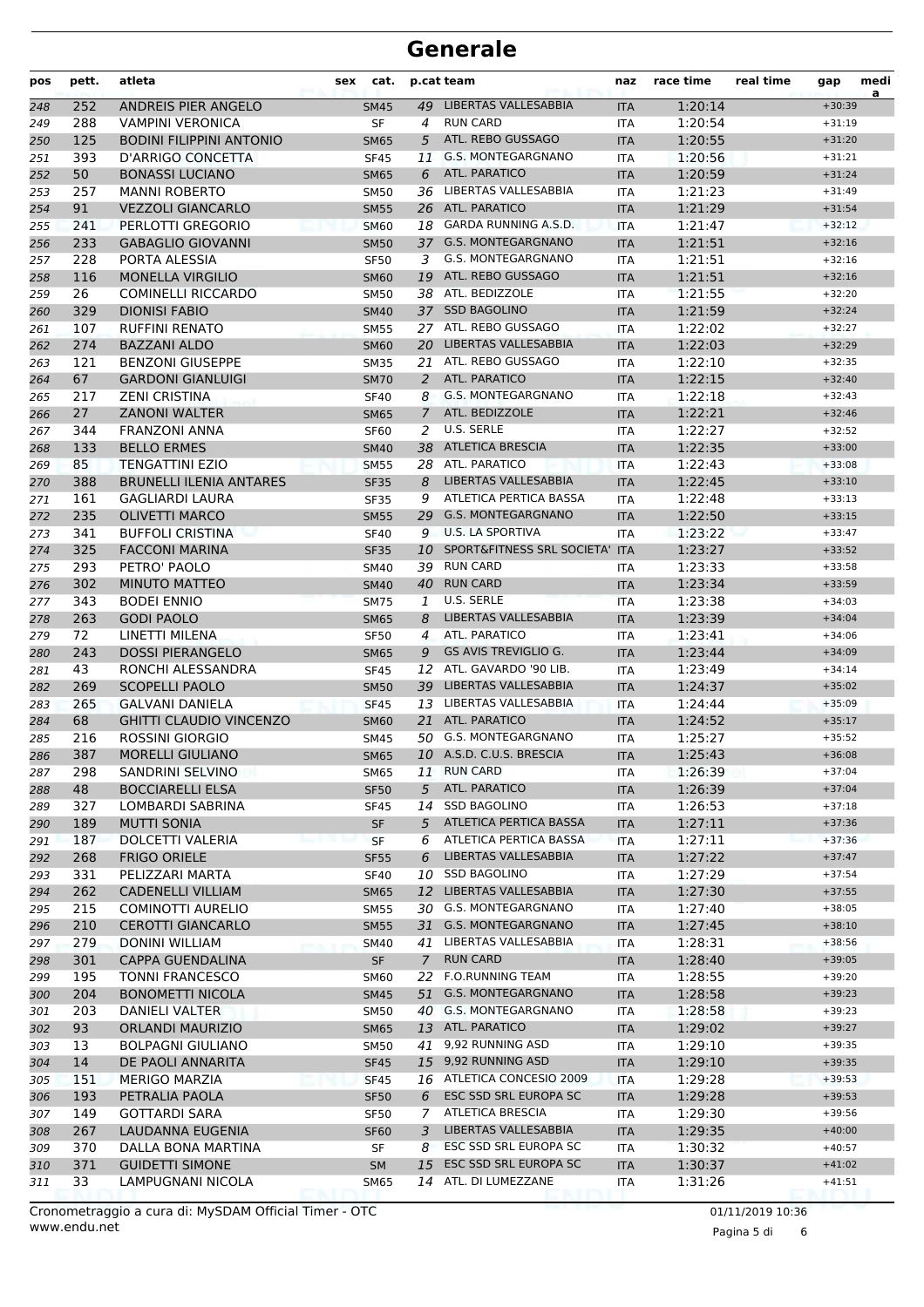| pos | pett. | atleta                          | <b>sex</b> | cat.        |                | p.cat team                                     | naz        | race time | real time | gap                  | medi<br>a |
|-----|-------|---------------------------------|------------|-------------|----------------|------------------------------------------------|------------|-----------|-----------|----------------------|-----------|
| 248 | 252   | ANDREIS PIER ANGELO             |            | <b>SM45</b> |                | 49 LIBERTAS VALLESABBIA                        | <b>ITA</b> | 1:20:14   |           | $+30:39$             |           |
| 249 | 288   | <b>VAMPINI VERONICA</b>         |            | <b>SF</b>   | 4              | <b>RUN CARD</b>                                | ITA        | 1:20:54   |           | $+31:19$             |           |
| 250 | 125   | <b>BODINI FILIPPINI ANTONIO</b> |            | <b>SM65</b> | 5              | ATL. REBO GUSSAGO                              | <b>ITA</b> | 1:20:55   |           | $+31:20$             |           |
| 251 | 393   | D'ARRIGO CONCETTA               |            | <b>SF45</b> | 11             | <b>G.S. MONTEGARGNANO</b>                      | <b>ITA</b> | 1:20:56   |           | $+31:21$             |           |
| 252 | 50    | <b>BONASSI LUCIANO</b>          |            | <b>SM65</b> | 6              | <b>ATL. PARATICO</b>                           | <b>ITA</b> | 1:20:59   |           | $+31:24$             |           |
| 253 | 257   | <b>MANNI ROBERTO</b>            |            | <b>SM50</b> | 36             | LIBERTAS VALLESABBIA                           | ITA        | 1:21:23   |           | $+31:49$             |           |
| 254 | 91    | <b>VEZZOLI GIANCARLO</b>        |            | <b>SM55</b> |                | 26 ATL. PARATICO                               | <b>ITA</b> | 1:21:29   |           | $+31:54$             |           |
| 255 | 241   | PERLOTTI GREGORIO               |            | <b>SM60</b> | 18             | <b>GARDA RUNNING A.S.D.</b>                    | <b>ITA</b> | 1:21:47   |           | $+32:12$             |           |
| 256 | 233   | <b>GABAGLIO GIOVANNI</b>        |            | <b>SM50</b> |                | 37 G.S. MONTEGARGNANO                          | <b>ITA</b> | 1:21:51   |           | $+32:16$             |           |
| 257 | 228   | PORTA ALESSIA                   |            | <b>SF50</b> | 3              | G.S. MONTEGARGNANO                             | <b>ITA</b> | 1:21:51   |           | $+32:16$             |           |
| 258 | 116   | <b>MONELLA VIRGILIO</b>         |            | <b>SM60</b> | 19             | ATL. REBO GUSSAGO                              | <b>ITA</b> | 1:21:51   |           | $+32:16$             |           |
| 259 | 26    | <b>COMINELLI RICCARDO</b>       |            | <b>SM50</b> |                | 38 ATL. BEDIZZOLE                              | ITA        | 1:21:55   |           | $+32:20$             |           |
| 260 | 329   | <b>DIONISI FABIO</b>            |            | <b>SM40</b> |                | 37 SSD BAGOLINO                                | <b>ITA</b> | 1:21:59   |           | $+32:24$             |           |
| 261 | 107   | <b>RUFFINI RENATO</b>           |            | <b>SM55</b> |                | 27 ATL. REBO GUSSAGO                           | <b>ITA</b> | 1:22:02   |           | $+32:27$             |           |
| 262 | 274   | <b>BAZZANI ALDO</b>             |            | <b>SM60</b> | 20             | LIBERTAS VALLESABBIA                           | <b>ITA</b> | 1:22:03   |           | $+32:29$             |           |
| 263 | 121   | <b>BENZONI GIUSEPPE</b>         |            | <b>SM35</b> | 21             | ATL. REBO GUSSAGO                              | <b>ITA</b> | 1:22:10   |           | $+32:35$             |           |
| 264 | 67    | <b>GARDONI GIANLUIGI</b>        |            | <b>SM70</b> | 2              | ATL. PARATICO                                  | <b>ITA</b> | 1:22:15   |           | $+32:40$             |           |
| 265 | 217   | <b>ZENI CRISTINA</b>            |            | <b>SF40</b> | 8              | G.S. MONTEGARGNANO                             | ITA        | 1:22:18   |           | $+32:43$             |           |
| 266 | 27    | <b>ZANONI WALTER</b>            |            | <b>SM65</b> | $\overline{7}$ | ATL. BEDIZZOLE                                 | <b>ITA</b> | 1:22:21   |           | $+32:46$             |           |
| 267 | 344   | <b>FRANZONI ANNA</b>            |            | <b>SF60</b> | 2              | U.S. SERLE                                     | <b>ITA</b> | 1:22:27   |           | $+32:52$             |           |
| 268 | 133   | <b>BELLO ERMES</b>              |            | <b>SM40</b> | 38             | <b>ATLETICA BRESCIA</b>                        | <b>ITA</b> | 1:22:35   |           | $+33:00$             |           |
| 269 | 85    | <b>TENGATTINI EZIO</b>          |            | <b>SM55</b> | 28             | ATL. PARATICO                                  | <b>ITA</b> | 1:22:43   |           | $+33:08$             |           |
| 270 | 388   | <b>BRUNELLI ILENIA ANTARES</b>  |            | <b>SF35</b> | 8              | LIBERTAS VALLESABBIA                           | <b>ITA</b> | 1:22:45   |           | $+33:10$             |           |
| 271 | 161   | <b>GAGLIARDI LAURA</b>          |            | <b>SF35</b> | 9              | ATLETICA PERTICA BASSA                         | ITA        | 1:22:48   |           | $+33:13$             |           |
| 272 | 235   | <b>OLIVETTI MARCO</b>           |            | <b>SM55</b> |                | 29 G.S. MONTEGARGNANO                          | <b>ITA</b> | 1:22:50   |           | $+33:15$             |           |
| 273 | 341   | <b>BUFFOLI CRISTINA</b>         |            | <b>SF40</b> | 9              | <b>U.S. LA SPORTIVA</b>                        | <b>ITA</b> | 1:23:22   |           | $+33:47$             |           |
| 274 | 325   | <b>FACCONI MARINA</b>           |            | <b>SF35</b> | 10             | SPORT&FITNESS SRL SOCIETA'                     | <b>ITA</b> | 1:23:27   |           | $+33:52$             |           |
| 275 | 293   | PETRO' PAOLO                    |            | <b>SM40</b> | 39             | <b>RUN CARD</b>                                | <b>ITA</b> | 1:23:33   |           | $+33:58$             |           |
| 276 | 302   | <b>MINUTO MATTEO</b>            |            | <b>SM40</b> |                | 40 RUN CARD                                    | <b>ITA</b> | 1:23:34   |           | $+33:59$             |           |
| 277 | 343   | <b>BODEI ENNIO</b>              |            | <b>SM75</b> | 1              | U.S. SERLE                                     | <b>ITA</b> | 1:23:38   |           | $+34:03$             |           |
| 278 | 263   | <b>GODI PAOLO</b>               |            | <b>SM65</b> | 8              | LIBERTAS VALLESABBIA                           | <b>ITA</b> | 1:23:39   |           | $+34:04$             |           |
| 279 | 72    | LINETTI MILENA                  |            | <b>SF50</b> | 4              | ATL. PARATICO                                  | <b>ITA</b> | 1:23:41   |           | $+34:06$             |           |
| 280 | 243   | <b>DOSSI PIERANGELO</b>         |            | <b>SM65</b> | 9              | <b>GS AVIS TREVIGLIO G.</b>                    | <b>ITA</b> | 1:23:44   |           | $+34:09$             |           |
| 281 | 43    | RONCHI ALESSANDRA               |            | <b>SF45</b> | 12             | ATL. GAVARDO '90 LIB.                          | <b>ITA</b> | 1:23:49   |           | $+34:14$             |           |
| 282 | 269   | <b>SCOPELLI PAOLO</b>           |            | <b>SM50</b> | 39             | LIBERTAS VALLESABBIA                           | <b>ITA</b> | 1:24:37   |           | $+35:02$             |           |
| 283 | 265   | <b>GALVANI DANIELA</b>          |            | <b>SF45</b> |                | 13 LIBERTAS VALLESABBIA                        | <b>ITA</b> | 1:24:44   |           | $+35:09$             |           |
| 284 | 68    | <b>GHITTI CLAUDIO VINCENZO</b>  |            | <b>SM60</b> | 21             | <b>ATL. PARATICO</b>                           | <b>ITA</b> | 1:24:52   |           | $+35:17$             |           |
| 285 | 216   | <b>ROSSINI GIORGIO</b>          |            | SM45        | 50             | <b>G.S. MONTEGARGNANO</b>                      | ITA        | 1:25:27   |           | $+35:52$             |           |
| 286 | 387   | <b>MORELLI GIULIANO</b>         |            | <b>SM65</b> |                | 10 A.S.D. C.U.S. BRESCIA                       | <b>ITA</b> | 1:25:43   |           | $+36:08$             |           |
| 287 | 298   | <b>SANDRINI SELVINO</b>         |            | <b>SM65</b> | 11             | <b>RUN CARD</b>                                | ITA        | 1:26:39   |           | $+37:04$             |           |
| 288 | 48    | <b>BOCCIARELLI ELSA</b>         |            | <b>SF50</b> | 5              | ATL. PARATICO                                  | <b>ITA</b> | 1:26:39   |           | $+37:04$             |           |
| 289 | 327   | LOMBARDI SABRINA                |            | <b>SF45</b> | 14             | <b>SSD BAGOLINO</b>                            | ITA        | 1:26:53   |           | $+37:18$             |           |
| 290 | 189   | <b>MUTTI SONIA</b>              |            | SF          | 5              | ATLETICA PERTICA BASSA                         | <b>ITA</b> | 1:27:11   |           | $+37:36$             |           |
| 291 | 187   | DOLCETTI VALERIA                |            | <b>SF</b>   | 6              | ATLETICA PERTICA BASSA                         | <b>ITA</b> | 1:27:11   |           | $+37:36$             |           |
| 292 | 268   | <b>FRIGO ORIELE</b>             |            | <b>SF55</b> | 6              | LIBERTAS VALLESABBIA                           | <b>ITA</b> | 1:27:22   |           | $+37:47$             |           |
| 293 | 331   | PELIZZARI MARTA                 |            | <b>SF40</b> |                | 10 SSD BAGOLINO                                | ITA        | 1:27:29   |           | $+37:54$             |           |
| 294 | 262   | <b>CADENELLI VILLIAM</b>        |            | <b>SM65</b> |                | 12 LIBERTAS VALLESABBIA                        | <b>ITA</b> | 1:27:30   |           | $+37:55$             |           |
| 295 | 215   | COMINOTTI AURELIO               |            | <b>SM55</b> |                | 30 G.S. MONTEGARGNANO                          | ITA        | 1:27:40   |           | $+38:05$             |           |
| 296 | 210   | <b>CEROTTI GIANCARLO</b>        |            | <b>SM55</b> |                | 31 G.S. MONTEGARGNANO                          | <b>ITA</b> | 1:27:45   |           | $+38:10$             |           |
| 297 | 279   | <b>DONINI WILLIAM</b>           |            | <b>SM40</b> | 41             | LIBERTAS VALLESABBIA                           | ITA        | 1:28:31   |           | $+38:56$             |           |
| 298 | 301   | <b>CAPPA GUENDALINA</b>         |            | SF          | $\mathcal{I}$  | <b>RUN CARD</b>                                | <b>ITA</b> | 1:28:40   |           | $+39:05$             |           |
| 299 | 195   | <b>TONNI FRANCESCO</b>          |            | <b>SM60</b> | 22             | <b>F.O.RUNNING TEAM</b>                        | ITA        | 1:28:55   |           | $+39:20$             |           |
| 300 | 204   | <b>BONOMETTI NICOLA</b>         |            | <b>SM45</b> |                | 51 G.S. MONTEGARGNANO                          | <b>ITA</b> | 1:28:58   |           | $+39:23$             |           |
| 301 | 203   | DANIELI VALTER                  |            | <b>SM50</b> |                | 40 G.S. MONTEGARGNANO                          | ITA        | 1:28:58   |           | $+39:23$             |           |
| 302 | 93    | <b>ORLANDI MAURIZIO</b>         |            | <b>SM65</b> |                | 13 ATL. PARATICO                               | <b>ITA</b> | 1:29:02   |           | $+39:27$             |           |
| 303 | 13    | <b>BOLPAGNI GIULIANO</b>        |            | <b>SM50</b> |                | 41 9,92 RUNNING ASD                            | ITA        | 1:29:10   |           | $+39:35$             |           |
| 304 | 14    | DE PAOLI ANNARITA               |            | <b>SF45</b> |                | 15 9,92 RUNNING ASD                            | <b>ITA</b> | 1:29:10   |           | $+39:35$             |           |
| 305 | 151   | <b>MERIGO MARZIA</b>            |            | <b>SF45</b> |                | 16 ATLETICA CONCESIO 2009                      | <b>ITA</b> | 1:29:28   |           | $+39:53$             |           |
| 306 | 193   | PETRALIA PAOLA                  |            | <b>SF50</b> | 6              | ESC SSD SRL EUROPA SC                          | <b>ITA</b> | 1:29:28   |           | $+39:53$             |           |
| 307 | 149   | <b>GOTTARDI SARA</b>            |            | <b>SF50</b> | 7              | <b>ATLETICA BRESCIA</b>                        | ITA        | 1:29:30   |           | $+39:56$             |           |
| 308 | 267   | LAUDANNA EUGENIA                |            | <b>SF60</b> | 3              | LIBERTAS VALLESABBIA                           | <b>ITA</b> | 1:29:35   |           | $+40:00$             |           |
| 309 | 370   | DALLA BONA MARTINA              |            | SF          | 8              | ESC SSD SRL EUROPA SC<br>ESC SSD SRL EUROPA SC | ITA        | 1:30:32   |           | $+40:57$<br>$+41:02$ |           |
| 310 | 371   | <b>GUIDETTI SIMONE</b>          |            | <b>SM</b>   | 15             | 14 ATL. DI LUMEZZANE                           | <b>ITA</b> | 1:30:37   |           |                      |           |
| 311 | 33    | LAMPUGNANI NICOLA               |            | <b>SM65</b> |                |                                                | <b>ITA</b> | 1:31:26   |           | $+41:51$             |           |

Pagina 5 di 6